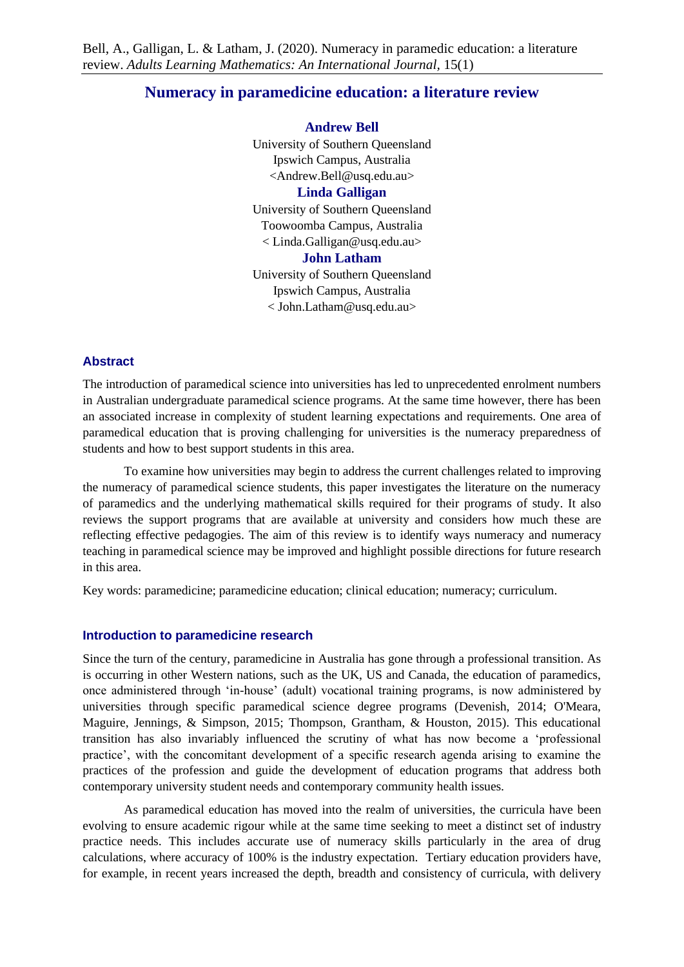# **Numeracy in paramedicine education: a literature review**

**Andrew Bell**

University of Southern Queensland Ipswich Campus, Australia <Andrew.Bell@usq.edu.au>

## **Linda Galligan**

University of Southern Queensland Toowoomba Campus, Australia < Linda.Galligan@usq.edu.au>

## **John Latham**

University of Southern Queensland Ipswich Campus, Australia < John.Latham@usq.edu.au>

## **Abstract**

The introduction of paramedical science into universities has led to unprecedented enrolment numbers in Australian undergraduate paramedical science programs. At the same time however, there has been an associated increase in complexity of student learning expectations and requirements. One area of paramedical education that is proving challenging for universities is the numeracy preparedness of students and how to best support students in this area.

To examine how universities may begin to address the current challenges related to improving the numeracy of paramedical science students, this paper investigates the literature on the numeracy of paramedics and the underlying mathematical skills required for their programs of study. It also reviews the support programs that are available at university and considers how much these are reflecting effective pedagogies. The aim of this review is to identify ways numeracy and numeracy teaching in paramedical science may be improved and highlight possible directions for future research in this area.

Key words: paramedicine; paramedicine education; clinical education; numeracy; curriculum.

### **Introduction to paramedicine research**

Since the turn of the century, paramedicine in Australia has gone through a professional transition. As is occurring in other Western nations, such as the UK, US and Canada, the education of paramedics, once administered through 'in-house' (adult) vocational training programs, is now administered by universities through specific paramedical science degree programs (Devenish, 2014; O'Meara, Maguire, Jennings, & Simpson, 2015; Thompson, Grantham, & Houston, 2015). This educational transition has also invariably influenced the scrutiny of what has now become a 'professional practice', with the concomitant development of a specific research agenda arising to examine the practices of the profession and guide the development of education programs that address both contemporary university student needs and contemporary community health issues.

As paramedical education has moved into the realm of universities, the curricula have been evolving to ensure academic rigour while at the same time seeking to meet a distinct set of industry practice needs. This includes accurate use of numeracy skills particularly in the area of drug calculations, where accuracy of 100% is the industry expectation. Tertiary education providers have, for example, in recent years increased the depth, breadth and consistency of curricula, with delivery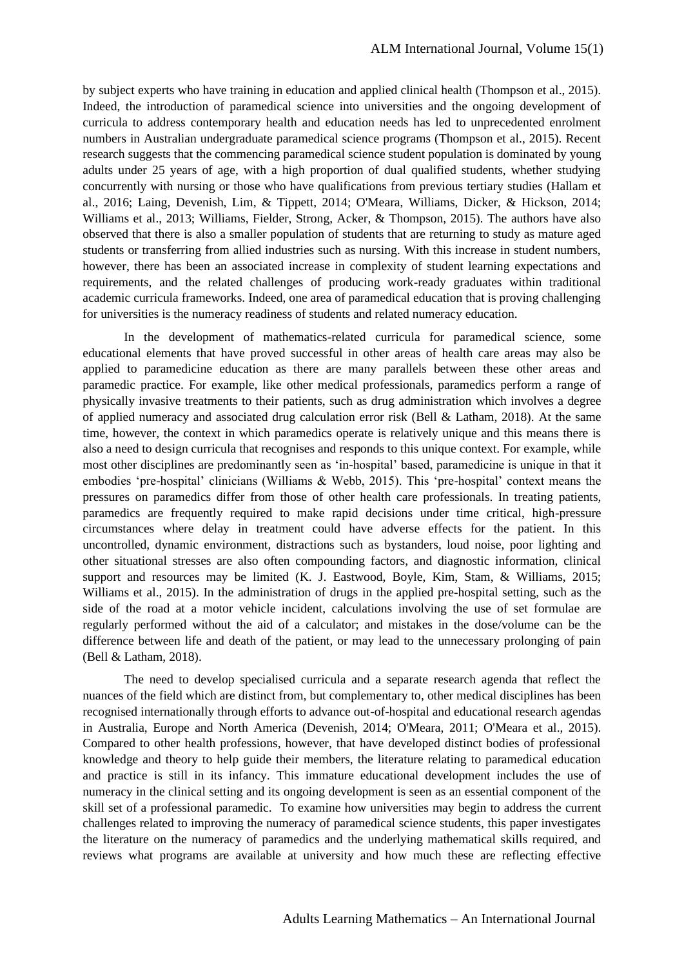by subject experts who have training in education and applied clinical health (Thompson et al., 2015). Indeed, the introduction of paramedical science into universities and the ongoing development of curricula to address contemporary health and education needs has led to unprecedented enrolment numbers in Australian undergraduate paramedical science programs (Thompson et al., 2015). Recent research suggests that the commencing paramedical science student population is dominated by young adults under 25 years of age, with a high proportion of dual qualified students, whether studying concurrently with nursing or those who have qualifications from previous tertiary studies (Hallam et al., 2016; Laing, Devenish, Lim, & Tippett, 2014; O'Meara, Williams, Dicker, & Hickson, 2014; Williams et al., 2013; Williams, Fielder, Strong, Acker, & Thompson, 2015). The authors have also observed that there is also a smaller population of students that are returning to study as mature aged students or transferring from allied industries such as nursing. With this increase in student numbers, however, there has been an associated increase in complexity of student learning expectations and requirements, and the related challenges of producing work-ready graduates within traditional academic curricula frameworks. Indeed, one area of paramedical education that is proving challenging for universities is the numeracy readiness of students and related numeracy education.

In the development of mathematics-related curricula for paramedical science, some educational elements that have proved successful in other areas of health care areas may also be applied to paramedicine education as there are many parallels between these other areas and paramedic practice. For example, like other medical professionals, paramedics perform a range of physically invasive treatments to their patients, such as drug administration which involves a degree of applied numeracy and associated drug calculation error risk (Bell & Latham, 2018). At the same time, however, the context in which paramedics operate is relatively unique and this means there is also a need to design curricula that recognises and responds to this unique context. For example, while most other disciplines are predominantly seen as 'in-hospital' based, paramedicine is unique in that it embodies 'pre-hospital' clinicians (Williams & Webb, 2015). This 'pre-hospital' context means the pressures on paramedics differ from those of other health care professionals. In treating patients, paramedics are frequently required to make rapid decisions under time critical, high-pressure circumstances where delay in treatment could have adverse effects for the patient. In this uncontrolled, dynamic environment, distractions such as bystanders, loud noise, poor lighting and other situational stresses are also often compounding factors, and diagnostic information, clinical support and resources may be limited (K. J. Eastwood, Boyle, Kim, Stam, & Williams, 2015; Williams et al., 2015). In the administration of drugs in the applied pre-hospital setting, such as the side of the road at a motor vehicle incident, calculations involving the use of set formulae are regularly performed without the aid of a calculator; and mistakes in the dose/volume can be the difference between life and death of the patient, or may lead to the unnecessary prolonging of pain (Bell & Latham, 2018).

The need to develop specialised curricula and a separate research agenda that reflect the nuances of the field which are distinct from, but complementary to, other medical disciplines has been recognised internationally through efforts to advance out-of-hospital and educational research agendas in Australia, Europe and North America (Devenish, 2014; O'Meara, 2011; O'Meara et al., 2015). Compared to other health professions, however, that have developed distinct bodies of professional knowledge and theory to help guide their members, the literature relating to paramedical education and practice is still in its infancy. This immature educational development includes the use of numeracy in the clinical setting and its ongoing development is seen as an essential component of the skill set of a professional paramedic. To examine how universities may begin to address the current challenges related to improving the numeracy of paramedical science students, this paper investigates the literature on the numeracy of paramedics and the underlying mathematical skills required, and reviews what programs are available at university and how much these are reflecting effective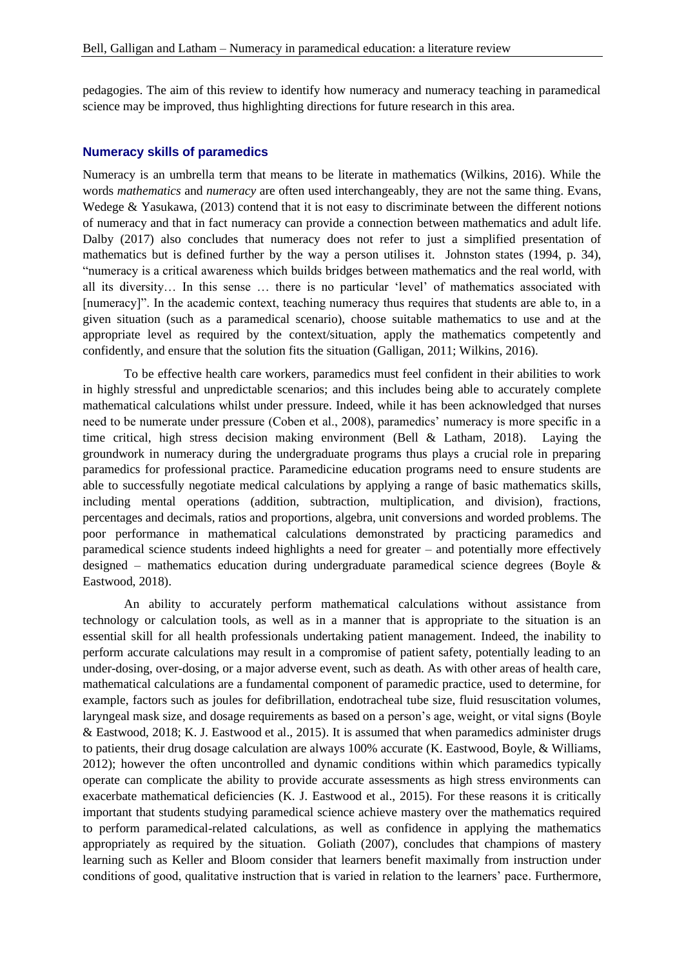pedagogies. The aim of this review to identify how numeracy and numeracy teaching in paramedical science may be improved, thus highlighting directions for future research in this area.

#### **Numeracy skills of paramedics**

Numeracy is an umbrella term that means to be literate in mathematics (Wilkins, 2016). While the words *mathematics* and *numeracy* are often used interchangeably, they are not the same thing. Evans, Wedege & Yasukawa, (2013) contend that it is not easy to discriminate between the different notions of numeracy and that in fact numeracy can provide a connection between mathematics and adult life. Dalby (2017) also concludes that numeracy does not refer to just a simplified presentation of mathematics but is defined further by the way a person utilises it. Johnston states (1994, p. 34), "numeracy is a critical awareness which builds bridges between mathematics and the real world, with all its diversity… In this sense … there is no particular 'level' of mathematics associated with [numeracy]". In the academic context, teaching numeracy thus requires that students are able to, in a given situation (such as a paramedical scenario), choose suitable mathematics to use and at the appropriate level as required by the context/situation, apply the mathematics competently and confidently, and ensure that the solution fits the situation (Galligan, 2011; Wilkins, 2016).

To be effective health care workers, paramedics must feel confident in their abilities to work in highly stressful and unpredictable scenarios; and this includes being able to accurately complete mathematical calculations whilst under pressure. Indeed, while it has been acknowledged that nurses need to be numerate under pressure (Coben et al., 2008), paramedics' numeracy is more specific in a time critical, high stress decision making environment (Bell & Latham, 2018). Laying the groundwork in numeracy during the undergraduate programs thus plays a crucial role in preparing paramedics for professional practice. Paramedicine education programs need to ensure students are able to successfully negotiate medical calculations by applying a range of basic mathematics skills, including mental operations (addition, subtraction, multiplication, and division), fractions, percentages and decimals, ratios and proportions, algebra, unit conversions and worded problems. The poor performance in mathematical calculations demonstrated by practicing paramedics and paramedical science students indeed highlights a need for greater – and potentially more effectively designed – mathematics education during undergraduate paramedical science degrees (Boyle & Eastwood, 2018).

An ability to accurately perform mathematical calculations without assistance from technology or calculation tools, as well as in a manner that is appropriate to the situation is an essential skill for all health professionals undertaking patient management. Indeed, the inability to perform accurate calculations may result in a compromise of patient safety, potentially leading to an under-dosing, over-dosing, or a major adverse event, such as death. As with other areas of health care, mathematical calculations are a fundamental component of paramedic practice, used to determine, for example, factors such as joules for defibrillation, endotracheal tube size, fluid resuscitation volumes, laryngeal mask size, and dosage requirements as based on a person's age, weight, or vital signs (Boyle & Eastwood, 2018; K. J. Eastwood et al., 2015). It is assumed that when paramedics administer drugs to patients, their drug dosage calculation are always 100% accurate (K. Eastwood, Boyle, & Williams, 2012); however the often uncontrolled and dynamic conditions within which paramedics typically operate can complicate the ability to provide accurate assessments as high stress environments can exacerbate mathematical deficiencies (K. J. Eastwood et al., 2015). For these reasons it is critically important that students studying paramedical science achieve mastery over the mathematics required to perform paramedical-related calculations, as well as confidence in applying the mathematics appropriately as required by the situation. Goliath (2007), concludes that champions of mastery learning such as Keller and Bloom consider that learners benefit maximally from instruction under conditions of good, qualitative instruction that is varied in relation to the learners' pace. Furthermore,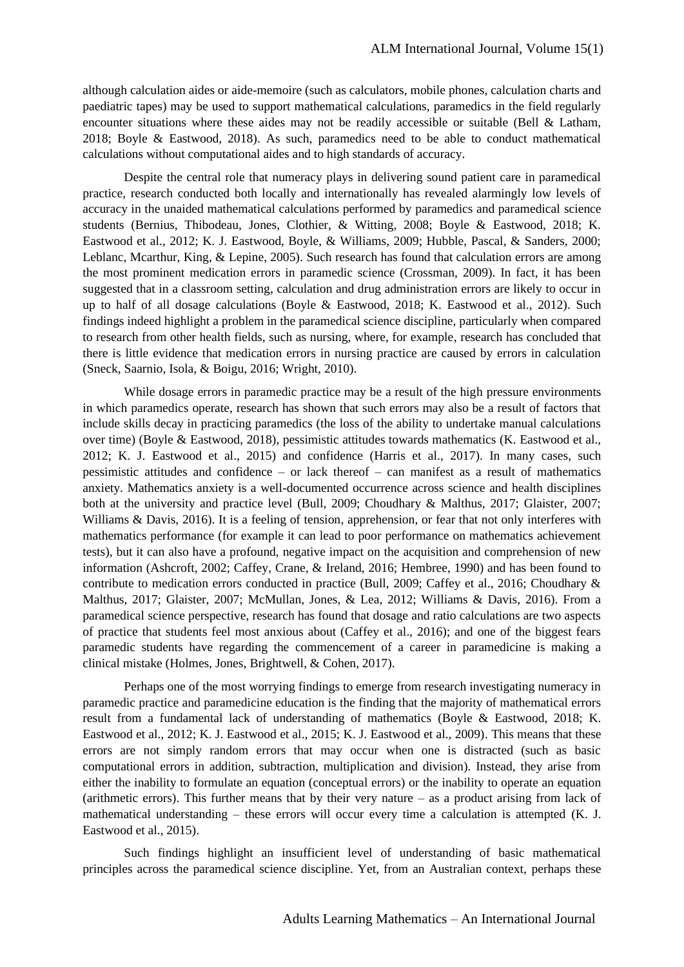although calculation aides or aide-memoire (such as calculators, mobile phones, calculation charts and paediatric tapes) may be used to support mathematical calculations, paramedics in the field regularly encounter situations where these aides may not be readily accessible or suitable (Bell  $\&$  Latham, 2018; Boyle & Eastwood, 2018). As such, paramedics need to be able to conduct mathematical calculations without computational aides and to high standards of accuracy.

Despite the central role that numeracy plays in delivering sound patient care in paramedical practice, research conducted both locally and internationally has revealed alarmingly low levels of accuracy in the unaided mathematical calculations performed by paramedics and paramedical science students (Bernius, Thibodeau, Jones, Clothier, & Witting, 2008; Boyle & Eastwood, 2018; K. Eastwood et al., 2012; K. J. Eastwood, Boyle, & Williams, 2009; Hubble, Pascal, & Sanders, 2000; Leblanc, Mcarthur, King, & Lepine, 2005). Such research has found that calculation errors are among the most prominent medication errors in paramedic science (Crossman, 2009). In fact, it has been suggested that in a classroom setting, calculation and drug administration errors are likely to occur in up to half of all dosage calculations (Boyle & Eastwood, 2018; K. Eastwood et al., 2012). Such findings indeed highlight a problem in the paramedical science discipline, particularly when compared to research from other health fields, such as nursing, where, for example, research has concluded that there is little evidence that medication errors in nursing practice are caused by errors in calculation (Sneck, Saarnio, Isola, & Boigu, 2016; Wright, 2010).

While dosage errors in paramedic practice may be a result of the high pressure environments in which paramedics operate, research has shown that such errors may also be a result of factors that include skills decay in practicing paramedics (the loss of the ability to undertake manual calculations over time) (Boyle & Eastwood, 2018), pessimistic attitudes towards mathematics (K. Eastwood et al., 2012; K. J. Eastwood et al., 2015) and confidence (Harris et al., 2017). In many cases, such pessimistic attitudes and confidence – or lack thereof – can manifest as a result of mathematics anxiety. Mathematics anxiety is a well-documented occurrence across science and health disciplines both at the university and practice level (Bull, 2009; Choudhary & Malthus, 2017; Glaister, 2007; Williams & Davis, 2016). It is a feeling of tension, apprehension, or fear that not only interferes with mathematics performance (for example it can lead to poor performance on mathematics achievement tests), but it can also have a profound, negative impact on the acquisition and comprehension of new information (Ashcroft, 2002; Caffey, Crane, & Ireland, 2016; Hembree, 1990) and has been found to contribute to medication errors conducted in practice (Bull, 2009; Caffey et al., 2016; Choudhary & Malthus, 2017; Glaister, 2007; McMullan, Jones, & Lea, 2012; Williams & Davis, 2016). From a paramedical science perspective, research has found that dosage and ratio calculations are two aspects of practice that students feel most anxious about (Caffey et al., 2016); and one of the biggest fears paramedic students have regarding the commencement of a career in paramedicine is making a clinical mistake (Holmes, Jones, Brightwell, & Cohen, 2017).

Perhaps one of the most worrying findings to emerge from research investigating numeracy in paramedic practice and paramedicine education is the finding that the majority of mathematical errors result from a fundamental lack of understanding of mathematics (Boyle & Eastwood, 2018; K. Eastwood et al., 2012; K. J. Eastwood et al., 2015; K. J. Eastwood et al., 2009). This means that these errors are not simply random errors that may occur when one is distracted (such as basic computational errors in addition, subtraction, multiplication and division). Instead, they arise from either the inability to formulate an equation (conceptual errors) or the inability to operate an equation (arithmetic errors). This further means that by their very nature – as a product arising from lack of mathematical understanding – these errors will occur every time a calculation is attempted (K. J. Eastwood et al., 2015).

Such findings highlight an insufficient level of understanding of basic mathematical principles across the paramedical science discipline. Yet, from an Australian context, perhaps these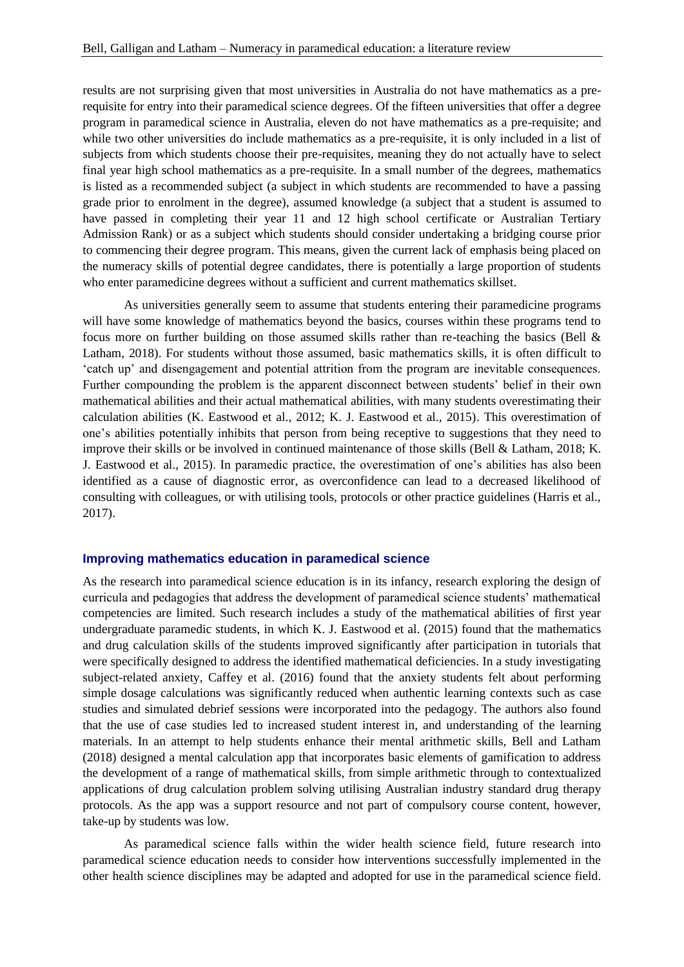results are not surprising given that most universities in Australia do not have mathematics as a prerequisite for entry into their paramedical science degrees. Of the fifteen universities that offer a degree program in paramedical science in Australia, eleven do not have mathematics as a pre-requisite; and while two other universities do include mathematics as a pre-requisite, it is only included in a list of subjects from which students choose their pre-requisites, meaning they do not actually have to select final year high school mathematics as a pre-requisite. In a small number of the degrees, mathematics is listed as a recommended subject (a subject in which students are recommended to have a passing grade prior to enrolment in the degree), assumed knowledge (a subject that a student is assumed to have passed in completing their year 11 and 12 high school certificate or Australian Tertiary Admission Rank) or as a subject which students should consider undertaking a bridging course prior to commencing their degree program. This means, given the current lack of emphasis being placed on the numeracy skills of potential degree candidates, there is potentially a large proportion of students who enter paramedicine degrees without a sufficient and current mathematics skillset.

As universities generally seem to assume that students entering their paramedicine programs will have some knowledge of mathematics beyond the basics, courses within these programs tend to focus more on further building on those assumed skills rather than re-teaching the basics (Bell & Latham, 2018). For students without those assumed, basic mathematics skills, it is often difficult to 'catch up' and disengagement and potential attrition from the program are inevitable consequences. Further compounding the problem is the apparent disconnect between students' belief in their own mathematical abilities and their actual mathematical abilities, with many students overestimating their calculation abilities (K. Eastwood et al., 2012; K. J. Eastwood et al., 2015). This overestimation of one's abilities potentially inhibits that person from being receptive to suggestions that they need to improve their skills or be involved in continued maintenance of those skills (Bell & Latham, 2018; K. J. Eastwood et al., 2015). In paramedic practice, the overestimation of one's abilities has also been identified as a cause of diagnostic error, as overconfidence can lead to a decreased likelihood of consulting with colleagues, or with utilising tools, protocols or other practice guidelines (Harris et al., 2017).

## **Improving mathematics education in paramedical science**

As the research into paramedical science education is in its infancy, research exploring the design of curricula and pedagogies that address the development of paramedical science students' mathematical competencies are limited. Such research includes a study of the mathematical abilities of first year undergraduate paramedic students, in which K. J. Eastwood et al. (2015) found that the mathematics and drug calculation skills of the students improved significantly after participation in tutorials that were specifically designed to address the identified mathematical deficiencies. In a study investigating subject-related anxiety, Caffey et al. (2016) found that the anxiety students felt about performing simple dosage calculations was significantly reduced when authentic learning contexts such as case studies and simulated debrief sessions were incorporated into the pedagogy. The authors also found that the use of case studies led to increased student interest in, and understanding of the learning materials. In an attempt to help students enhance their mental arithmetic skills, Bell and Latham (2018) designed a mental calculation app that incorporates basic elements of gamification to address the development of a range of mathematical skills, from simple arithmetic through to contextualized applications of drug calculation problem solving utilising Australian industry standard drug therapy protocols. As the app was a support resource and not part of compulsory course content, however, take-up by students was low.

As paramedical science falls within the wider health science field, future research into paramedical science education needs to consider how interventions successfully implemented in the other health science disciplines may be adapted and adopted for use in the paramedical science field.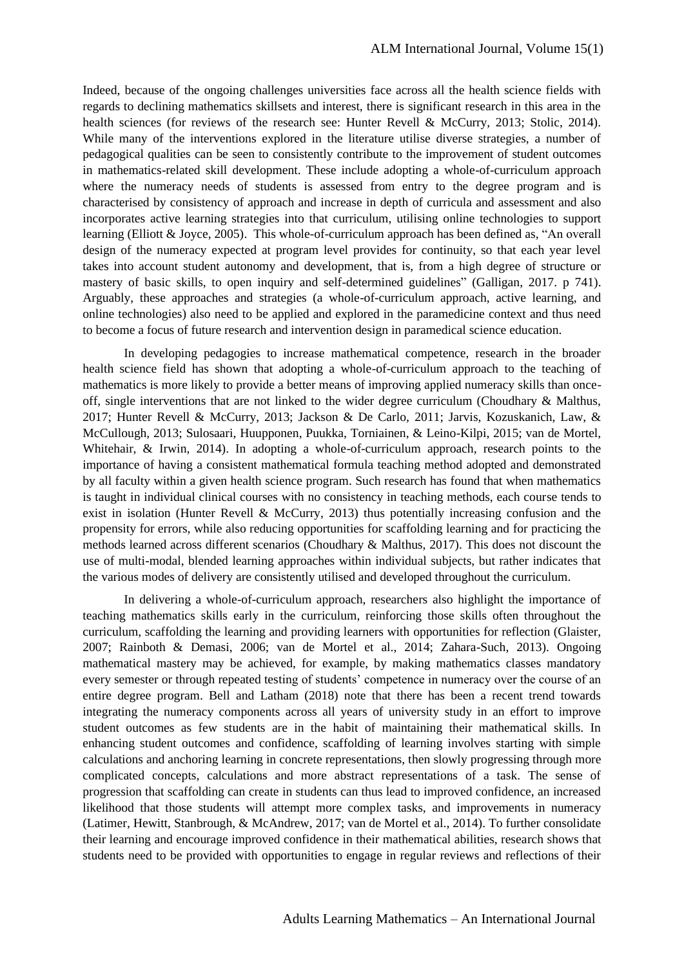Indeed, because of the ongoing challenges universities face across all the health science fields with regards to declining mathematics skillsets and interest, there is significant research in this area in the health sciences (for reviews of the research see: Hunter Revell & McCurry, 2013; Stolic, 2014). While many of the interventions explored in the literature utilise diverse strategies, a number of pedagogical qualities can be seen to consistently contribute to the improvement of student outcomes in mathematics-related skill development. These include adopting a whole-of-curriculum approach where the numeracy needs of students is assessed from entry to the degree program and is characterised by consistency of approach and increase in depth of curricula and assessment and also incorporates active learning strategies into that curriculum, utilising online technologies to support learning (Elliott & Joyce, 2005). This whole-of-curriculum approach has been defined as, "An overall design of the numeracy expected at program level provides for continuity, so that each year level takes into account student autonomy and development, that is, from a high degree of structure or mastery of basic skills, to open inquiry and self-determined guidelines" (Galligan, 2017. p 741). Arguably, these approaches and strategies (a whole-of-curriculum approach, active learning, and online technologies) also need to be applied and explored in the paramedicine context and thus need to become a focus of future research and intervention design in paramedical science education.

In developing pedagogies to increase mathematical competence, research in the broader health science field has shown that adopting a whole-of-curriculum approach to the teaching of mathematics is more likely to provide a better means of improving applied numeracy skills than onceoff, single interventions that are not linked to the wider degree curriculum (Choudhary & Malthus, 2017; Hunter Revell & McCurry, 2013; Jackson & De Carlo, 2011; Jarvis, Kozuskanich, Law, & McCullough, 2013; Sulosaari, Huupponen, Puukka, Torniainen, & Leino-Kilpi, 2015; van de Mortel, Whitehair, & Irwin, 2014). In adopting a whole-of-curriculum approach, research points to the importance of having a consistent mathematical formula teaching method adopted and demonstrated by all faculty within a given health science program. Such research has found that when mathematics is taught in individual clinical courses with no consistency in teaching methods, each course tends to exist in isolation (Hunter Revell & McCurry, 2013) thus potentially increasing confusion and the propensity for errors, while also reducing opportunities for scaffolding learning and for practicing the methods learned across different scenarios (Choudhary & Malthus, 2017). This does not discount the use of multi-modal, blended learning approaches within individual subjects, but rather indicates that the various modes of delivery are consistently utilised and developed throughout the curriculum.

In delivering a whole-of-curriculum approach, researchers also highlight the importance of teaching mathematics skills early in the curriculum, reinforcing those skills often throughout the curriculum, scaffolding the learning and providing learners with opportunities for reflection (Glaister, 2007; Rainboth & Demasi, 2006; van de Mortel et al., 2014; Zahara-Such, 2013). Ongoing mathematical mastery may be achieved, for example, by making mathematics classes mandatory every semester or through repeated testing of students' competence in numeracy over the course of an entire degree program. Bell and Latham (2018) note that there has been a recent trend towards integrating the numeracy components across all years of university study in an effort to improve student outcomes as few students are in the habit of maintaining their mathematical skills. In enhancing student outcomes and confidence, scaffolding of learning involves starting with simple calculations and anchoring learning in concrete representations, then slowly progressing through more complicated concepts, calculations and more abstract representations of a task. The sense of progression that scaffolding can create in students can thus lead to improved confidence, an increased likelihood that those students will attempt more complex tasks, and improvements in numeracy (Latimer, Hewitt, Stanbrough, & McAndrew, 2017; van de Mortel et al., 2014). To further consolidate their learning and encourage improved confidence in their mathematical abilities, research shows that students need to be provided with opportunities to engage in regular reviews and reflections of their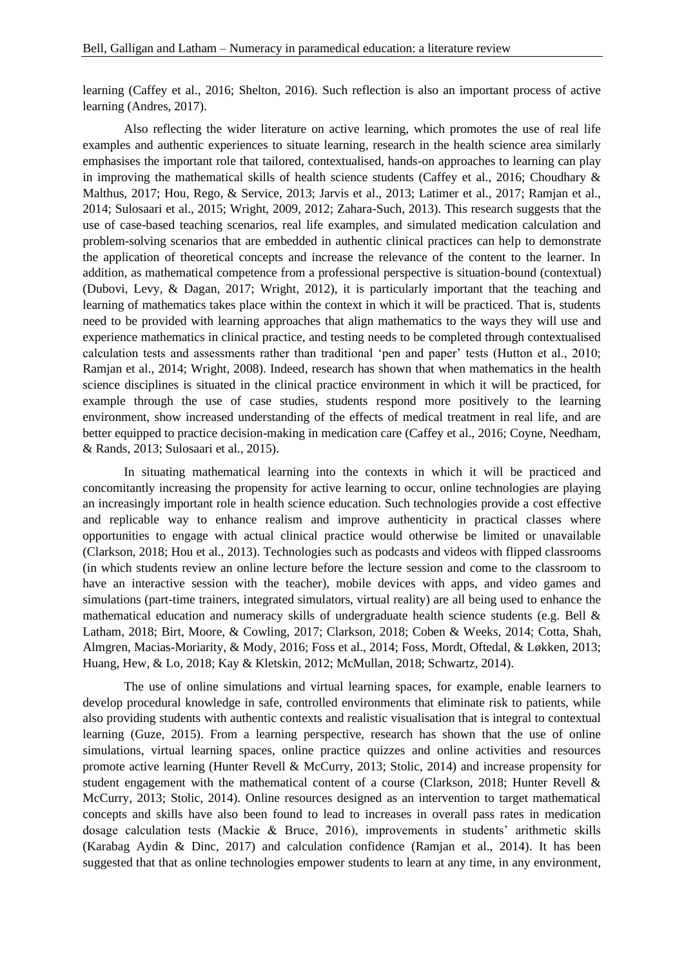learning (Caffey et al., 2016; Shelton, 2016). Such reflection is also an important process of active learning (Andres, 2017).

Also reflecting the wider literature on active learning, which promotes the use of real life examples and authentic experiences to situate learning, research in the health science area similarly emphasises the important role that tailored, contextualised, hands-on approaches to learning can play in improving the mathematical skills of health science students (Caffey et al., 2016; Choudhary  $\&$ Malthus, 2017; Hou, Rego, & Service, 2013; Jarvis et al., 2013; Latimer et al., 2017; Ramjan et al., 2014; Sulosaari et al., 2015; Wright, 2009, 2012; Zahara-Such, 2013). This research suggests that the use of case-based teaching scenarios, real life examples, and simulated medication calculation and problem-solving scenarios that are embedded in authentic clinical practices can help to demonstrate the application of theoretical concepts and increase the relevance of the content to the learner. In addition, as mathematical competence from a professional perspective is situation-bound (contextual) (Dubovi, Levy, & Dagan, 2017; Wright, 2012), it is particularly important that the teaching and learning of mathematics takes place within the context in which it will be practiced. That is, students need to be provided with learning approaches that align mathematics to the ways they will use and experience mathematics in clinical practice, and testing needs to be completed through contextualised calculation tests and assessments rather than traditional 'pen and paper' tests (Hutton et al., 2010; Ramjan et al., 2014; Wright, 2008). Indeed, research has shown that when mathematics in the health science disciplines is situated in the clinical practice environment in which it will be practiced, for example through the use of case studies, students respond more positively to the learning environment, show increased understanding of the effects of medical treatment in real life, and are better equipped to practice decision-making in medication care (Caffey et al., 2016; Coyne, Needham, & Rands, 2013; Sulosaari et al., 2015).

In situating mathematical learning into the contexts in which it will be practiced and concomitantly increasing the propensity for active learning to occur, online technologies are playing an increasingly important role in health science education. Such technologies provide a cost effective and replicable way to enhance realism and improve authenticity in practical classes where opportunities to engage with actual clinical practice would otherwise be limited or unavailable (Clarkson, 2018; Hou et al., 2013). Technologies such as podcasts and videos with flipped classrooms (in which students review an online lecture before the lecture session and come to the classroom to have an interactive session with the teacher), mobile devices with apps, and video games and simulations (part-time trainers, integrated simulators, virtual reality) are all being used to enhance the mathematical education and numeracy skills of undergraduate health science students (e.g. Bell & Latham, 2018; Birt, Moore, & Cowling, 2017; Clarkson, 2018; Coben & Weeks, 2014; Cotta, Shah, Almgren, Macias-Moriarity, & Mody, 2016; Foss et al., 2014; Foss, Mordt, Oftedal, & Løkken, 2013; Huang, Hew, & Lo, 2018; Kay & Kletskin, 2012; McMullan, 2018; Schwartz, 2014).

The use of online simulations and virtual learning spaces, for example, enable learners to develop procedural knowledge in safe, controlled environments that eliminate risk to patients, while also providing students with authentic contexts and realistic visualisation that is integral to contextual learning (Guze, 2015). From a learning perspective, research has shown that the use of online simulations, virtual learning spaces, online practice quizzes and online activities and resources promote active learning (Hunter Revell & McCurry, 2013; Stolic, 2014) and increase propensity for student engagement with the mathematical content of a course (Clarkson, 2018; Hunter Revell & McCurry, 2013; Stolic, 2014). Online resources designed as an intervention to target mathematical concepts and skills have also been found to lead to increases in overall pass rates in medication dosage calculation tests (Mackie & Bruce, 2016), improvements in students' arithmetic skills (Karabag Aydin & Dinc, 2017) and calculation confidence (Ramjan et al., 2014). It has been suggested that that as online technologies empower students to learn at any time, in any environment,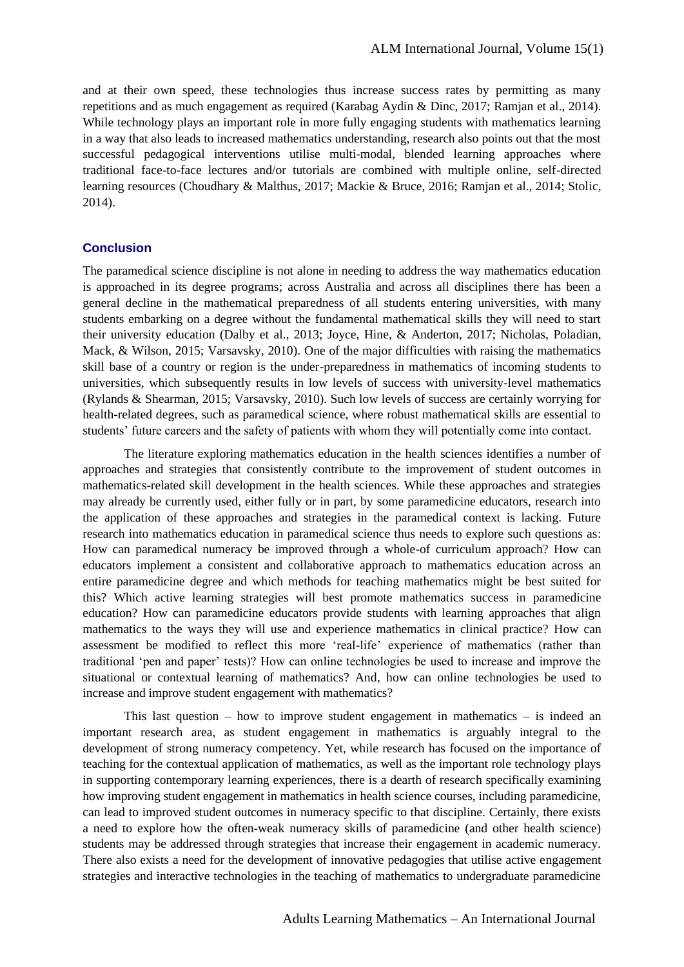and at their own speed, these technologies thus increase success rates by permitting as many repetitions and as much engagement as required (Karabag Aydin & Dinc, 2017; Ramjan et al., 2014). While technology plays an important role in more fully engaging students with mathematics learning in a way that also leads to increased mathematics understanding, research also points out that the most successful pedagogical interventions utilise multi-modal, blended learning approaches where traditional face-to-face lectures and/or tutorials are combined with multiple online, self-directed learning resources (Choudhary & Malthus, 2017; Mackie & Bruce, 2016; Ramjan et al., 2014; Stolic, 2014).

## **Conclusion**

The paramedical science discipline is not alone in needing to address the way mathematics education is approached in its degree programs; across Australia and across all disciplines there has been a general decline in the mathematical preparedness of all students entering universities, with many students embarking on a degree without the fundamental mathematical skills they will need to start their university education (Dalby et al., 2013; Joyce, Hine, & Anderton, 2017; Nicholas, Poladian, Mack, & Wilson, 2015; Varsavsky, 2010). One of the major difficulties with raising the mathematics skill base of a country or region is the under-preparedness in mathematics of incoming students to universities, which subsequently results in low levels of success with university-level mathematics (Rylands & Shearman, 2015; Varsavsky, 2010). Such low levels of success are certainly worrying for health-related degrees, such as paramedical science, where robust mathematical skills are essential to students' future careers and the safety of patients with whom they will potentially come into contact.

The literature exploring mathematics education in the health sciences identifies a number of approaches and strategies that consistently contribute to the improvement of student outcomes in mathematics-related skill development in the health sciences. While these approaches and strategies may already be currently used, either fully or in part, by some paramedicine educators, research into the application of these approaches and strategies in the paramedical context is lacking. Future research into mathematics education in paramedical science thus needs to explore such questions as: How can paramedical numeracy be improved through a whole-of curriculum approach? How can educators implement a consistent and collaborative approach to mathematics education across an entire paramedicine degree and which methods for teaching mathematics might be best suited for this? Which active learning strategies will best promote mathematics success in paramedicine education? How can paramedicine educators provide students with learning approaches that align mathematics to the ways they will use and experience mathematics in clinical practice? How can assessment be modified to reflect this more 'real-life' experience of mathematics (rather than traditional 'pen and paper' tests)? How can online technologies be used to increase and improve the situational or contextual learning of mathematics? And, how can online technologies be used to increase and improve student engagement with mathematics?

This last question – how to improve student engagement in mathematics – is indeed an important research area, as student engagement in mathematics is arguably integral to the development of strong numeracy competency. Yet, while research has focused on the importance of teaching for the contextual application of mathematics, as well as the important role technology plays in supporting contemporary learning experiences, there is a dearth of research specifically examining how improving student engagement in mathematics in health science courses, including paramedicine, can lead to improved student outcomes in numeracy specific to that discipline. Certainly, there exists a need to explore how the often-weak numeracy skills of paramedicine (and other health science) students may be addressed through strategies that increase their engagement in academic numeracy. There also exists a need for the development of innovative pedagogies that utilise active engagement strategies and interactive technologies in the teaching of mathematics to undergraduate paramedicine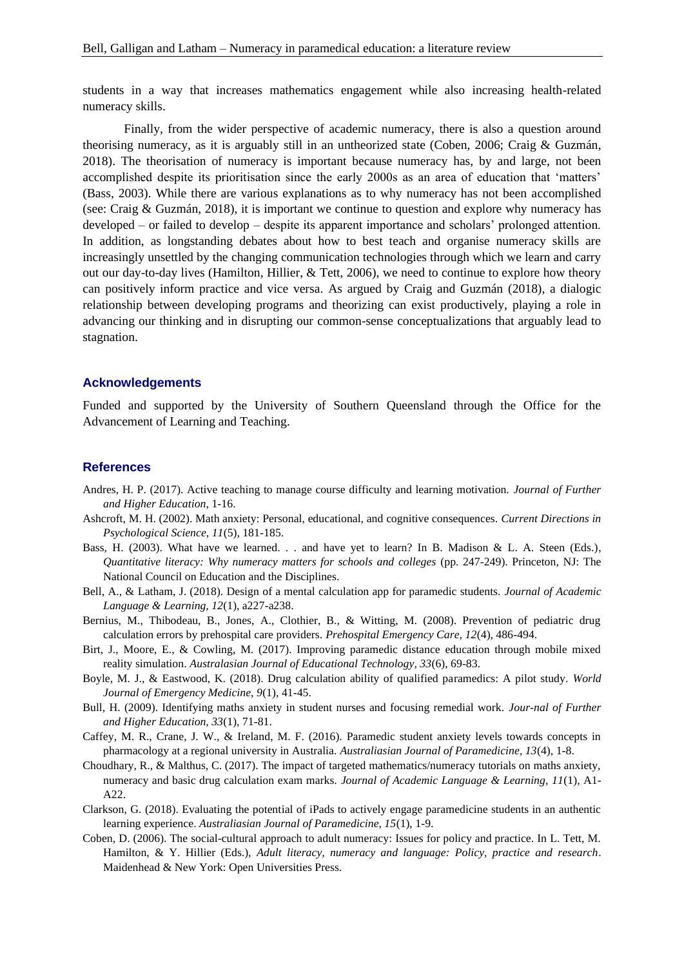students in a way that increases mathematics engagement while also increasing health-related numeracy skills.

Finally, from the wider perspective of academic numeracy, there is also a question around theorising numeracy, as it is arguably still in an untheorized state (Coben, 2006; Craig & Guzmán, 2018). The theorisation of numeracy is important because numeracy has, by and large, not been accomplished despite its prioritisation since the early 2000s as an area of education that 'matters' (Bass, 2003). While there are various explanations as to why numeracy has not been accomplished (see: Craig & Guzmán, 2018), it is important we continue to question and explore why numeracy has developed – or failed to develop – despite its apparent importance and scholars' prolonged attention. In addition, as longstanding debates about how to best teach and organise numeracy skills are increasingly unsettled by the changing communication technologies through which we learn and carry out our day-to-day lives (Hamilton, Hillier, & Tett, 2006), we need to continue to explore how theory can positively inform practice and vice versa. As argued by Craig and Guzmán (2018), a dialogic relationship between developing programs and theorizing can exist productively, playing a role in advancing our thinking and in disrupting our common-sense conceptualizations that arguably lead to stagnation.

## **Acknowledgements**

Funded and supported by the University of Southern Queensland through the Office for the Advancement of Learning and Teaching.

#### **References**

- Andres, H. P. (2017). Active teaching to manage course difficulty and learning motivation. *Journal of Further and Higher Education*, 1-16.
- Ashcroft, M. H. (2002). Math anxiety: Personal, educational, and cognitive consequences. *Current Directions in Psychological Science, 11*(5), 181-185.
- Bass, H. (2003). What have we learned. . . and have yet to learn? In B. Madison & L. A. Steen (Eds.), *Quantitative literacy: Why numeracy matters for schools and colleges* (pp. 247-249). Princeton, NJ: The National Council on Education and the Disciplines.
- Bell, A., & Latham, J. (2018). Design of a mental calculation app for paramedic students. *Journal of Academic Language & Learning, 12*(1), a227-a238.
- Bernius, M., Thibodeau, B., Jones, A., Clothier, B., & Witting, M. (2008). Prevention of pediatric drug calculation errors by prehospital care providers. *Prehospital Emergency Care, 12*(4), 486-494.
- Birt, J., Moore, E., & Cowling, M. (2017). Improving paramedic distance education through mobile mixed reality simulation. *Australasian Journal of Educational Technology, 33*(6), 69-83.
- Boyle, M. J., & Eastwood, K. (2018). Drug calculation ability of qualified paramedics: A pilot study. *World Journal of Emergency Medicine, 9*(1), 41-45.
- Bull, H. (2009). Identifying maths anxiety in student nurses and focusing remedial work. *Jour-nal of Further and Higher Education, 33*(1), 71-81.
- Caffey, M. R., Crane, J. W., & Ireland, M. F. (2016). Paramedic student anxiety levels towards concepts in pharmacology at a regional university in Australia. *Australiasian Journal of Paramedicine, 13*(4), 1-8.
- Choudhary, R., & Malthus, C. (2017). The impact of targeted mathematics/numeracy tutorials on maths anxiety, numeracy and basic drug calculation exam marks. *Journal of Academic Language & Learning, 11*(1), A1- A22.
- Clarkson, G. (2018). Evaluating the potential of iPads to actively engage paramedicine students in an authentic learning experience. *Australiasian Journal of Paramedicine, 15*(1), 1-9.
- Coben, D. (2006). The social-cultural approach to adult numeracy: Issues for policy and practice. In L. Tett, M. Hamilton, & Y. Hillier (Eds.), *Adult literacy, numeracy and language: Policy, practice and research*. Maidenhead & New York: Open Universities Press.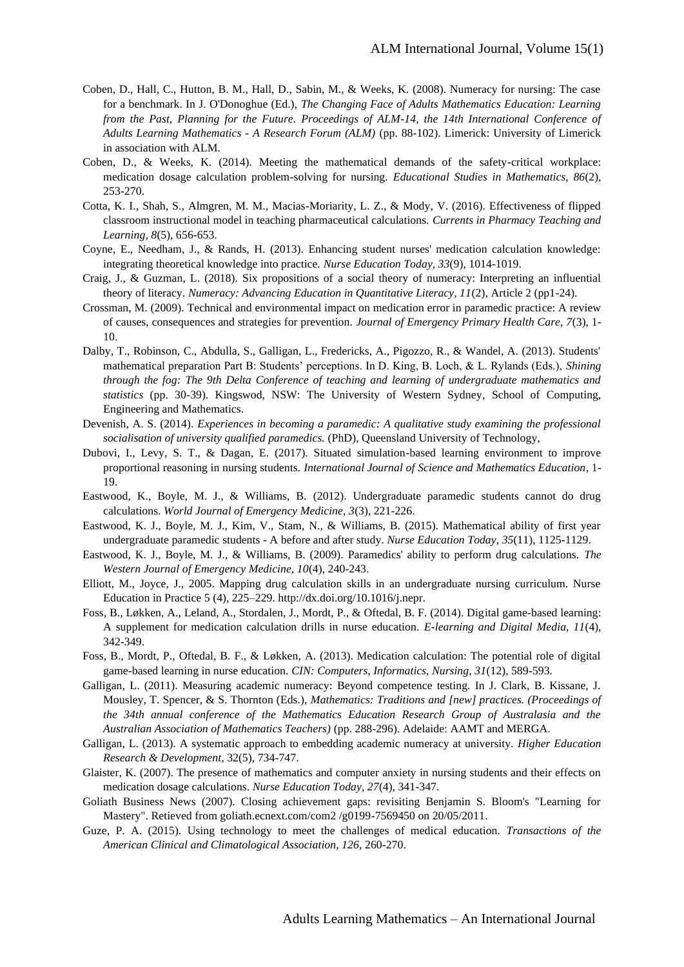- Coben, D., Hall, C., Hutton, B. M., Hall, D., Sabin, M., & Weeks, K. (2008). Numeracy for nursing: The case for a benchmark. In J. O'Donoghue (Ed.), *The Changing Face of Adults Mathematics Education: Learning from the Past, Planning for the Future. Proceedings of ALM-14, the 14th International Conference of Adults Learning Mathematics - A Research Forum (ALM)* (pp. 88-102). Limerick: University of Limerick in association with ALM.
- Coben, D., & Weeks, K. (2014). Meeting the mathematical demands of the safety-critical workplace: medication dosage calculation problem-solving for nursing. *Educational Studies in Mathematics, 86*(2), 253-270.
- Cotta, K. I., Shah, S., Almgren, M. M., Macias-Moriarity, L. Z., & Mody, V. (2016). Effectiveness of flipped classroom instructional model in teaching pharmaceutical calculations. *Currents in Pharmacy Teaching and Learning, 8*(5), 656-653.
- Coyne, E., Needham, J., & Rands, H. (2013). Enhancing student nurses' medication calculation knowledge: integrating theoretical knowledge into practice. *Nurse Education Today, 33*(9), 1014-1019.
- Craig, J., & Guzman, L. (2018). Six propositions of a social theory of numeracy: Interpreting an influential theory of literacy. *Numeracy: Advancing Education in Quantitative Literacy, 11*(2), Article 2 (pp1-24).
- Crossman, M. (2009). Technical and environmental impact on medication error in paramedic practice: A review of causes, consequences and strategies for prevention. *Journal of Emergency Primary Health Care, 7*(3), 1- 10.
- Dalby, T., Robinson, C., Abdulla, S., Galligan, L., Fredericks, A., Pigozzo, R., & Wandel, A. (2013). Students' mathematical preparation Part B: Students' perceptions. In D. King, B. Loch, & L. Rylands (Eds.), *Shining through the fog: The 9th Delta Conference of teaching and learning of undergraduate mathematics and statistics* (pp. 30-39). Kingswod, NSW: The University of Western Sydney, School of Computing, Engineering and Mathematics.
- Devenish, A. S. (2014). *Experiences in becoming a paramedic: A qualitative study examining the professional socialisation of university qualified paramedics.* (PhD), Queensland University of Technology,
- Dubovi, I., Levy, S. T., & Dagan, E. (2017). Situated simulation-based learning environment to improve proportional reasoning in nursing students. *International Journal of Science and Mathematics Education*, 1- 19.
- Eastwood, K., Boyle, M. J., & Williams, B. (2012). Undergraduate paramedic students cannot do drug calculations. *World Journal of Emergency Medicine, 3*(3), 221-226.
- Eastwood, K. J., Boyle, M. J., Kim, V., Stam, N., & Williams, B. (2015). Mathematical ability of first year undergraduate paramedic students - A before and after study. *Nurse Education Today, 35*(11), 1125-1129.
- Eastwood, K. J., Boyle, M. J., & Williams, B. (2009). Paramedics' ability to perform drug calculations. *The Western Journal of Emergency Medicine, 10*(4), 240-243.
- Elliott, M., Joyce, J., 2005. Mapping drug calculation skills in an undergraduate nursing curriculum. Nurse Education in Practice 5 (4), 225–229. http://dx.doi.org/10.1016/j.nepr.
- Foss, B., Løkken, A., Leland, A., Stordalen, J., Mordt, P., & Oftedal, B. F. (2014). Digital game-based learning: A supplement for medication calculation drills in nurse education. *E-learning and Digital Media, 11*(4), 342-349.
- Foss, B., Mordt, P., Oftedal, B. F., & Løkken, A. (2013). Medication calculation: The potential role of digital game-based learning in nurse education. *CIN: Computers, Informatics, Nursing, 31*(12), 589-593.
- Galligan, L. (2011). Measuring academic numeracy: Beyond competence testing. In J. Clark, B. Kissane, J. Mousley, T. Spencer, & S. Thornton (Eds.), *Mathematics: Traditions and [new] practices. (Proceedings of the 34th annual conference of the Mathematics Education Research Group of Australasia and the Australian Association of Mathematics Teachers)* (pp. 288-296). Adelaide: AAMT and MERGA.
- Galligan, L. (2013). A systematic approach to embedding academic numeracy at university. *Higher Education Research & Development,* 32(5), 734-747.
- Glaister, K. (2007). The presence of mathematics and computer anxiety in nursing students and their effects on medication dosage calculations. *Nurse Education Today, 27*(4), 341-347.
- Goliath Business News (2007). Closing achievement gaps: revisiting Benjamin S. Bloom's "Learning for Mastery". Retieved from goliath.ecnext.com/com2 /g0199-7569450 on 20/05/2011.
- Guze, P. A. (2015). Using technology to meet the challenges of medical education. *Transactions of the American Clinical and Climatological Association, 126*, 260-270.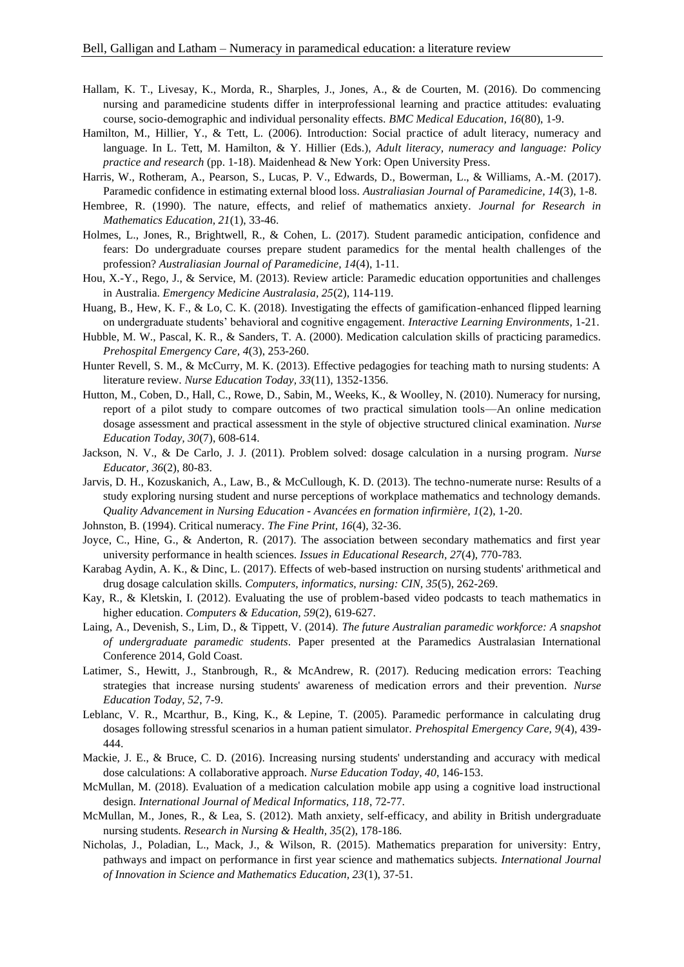- Hallam, K. T., Livesay, K., Morda, R., Sharples, J., Jones, A., & de Courten, M. (2016). Do commencing nursing and paramedicine students differ in interprofessional learning and practice attitudes: evaluating course, socio-demographic and individual personality effects. *BMC Medical Education, 16*(80), 1-9.
- Hamilton, M., Hillier, Y., & Tett, L. (2006). Introduction: Social practice of adult literacy, numeracy and language. In L. Tett, M. Hamilton, & Y. Hillier (Eds.), *Adult literacy, numeracy and language: Policy practice and research* (pp. 1-18). Maidenhead & New York: Open University Press.
- Harris, W., Rotheram, A., Pearson, S., Lucas, P. V., Edwards, D., Bowerman, L., & Williams, A.-M. (2017). Paramedic confidence in estimating external blood loss. *Australiasian Journal of Paramedicine, 14*(3), 1-8.
- Hembree, R. (1990). The nature, effects, and relief of mathematics anxiety. *Journal for Research in Mathematics Education, 21*(1), 33-46.
- Holmes, L., Jones, R., Brightwell, R., & Cohen, L. (2017). Student paramedic anticipation, confidence and fears: Do undergraduate courses prepare student paramedics for the mental health challenges of the profession? *Australiasian Journal of Paramedicine, 14*(4), 1-11.
- Hou, X.-Y., Rego, J., & Service, M. (2013). Review article: Paramedic education opportunities and challenges in Australia. *Emergency Medicine Australasia, 25*(2), 114-119.
- Huang, B., Hew, K. F., & Lo, C. K. (2018). Investigating the effects of gamification-enhanced flipped learning on undergraduate students' behavioral and cognitive engagement. *Interactive Learning Environments*, 1-21.
- Hubble, M. W., Pascal, K. R., & Sanders, T. A. (2000). Medication calculation skills of practicing paramedics. *Prehospital Emergency Care, 4*(3), 253-260.
- Hunter Revell, S. M., & McCurry, M. K. (2013). Effective pedagogies for teaching math to nursing students: A literature review. *Nurse Education Today, 33*(11), 1352-1356.
- Hutton, M., Coben, D., Hall, C., Rowe, D., Sabin, M., Weeks, K., & Woolley, N. (2010). Numeracy for nursing, report of a pilot study to compare outcomes of two practical simulation tools—An online medication dosage assessment and practical assessment in the style of objective structured clinical examination. *Nurse Education Today, 30*(7), 608-614.
- Jackson, N. V., & De Carlo, J. J. (2011). Problem solved: dosage calculation in a nursing program. *Nurse Educator, 36*(2), 80-83.
- Jarvis, D. H., Kozuskanich, A., Law, B., & McCullough, K. D. (2013). The techno-numerate nurse: Results of a study exploring nursing student and nurse perceptions of workplace mathematics and technology demands. *Quality Advancement in Nursing Education - Avancées en formation infirmière, 1*(2), 1-20.
- Johnston, B. (1994). Critical numeracy. *The Fine Print, 16*(4), 32-36.
- Joyce, C., Hine, G., & Anderton, R. (2017). The association between secondary mathematics and first year university performance in health sciences. *Issues in Educational Research, 27*(4), 770-783.
- Karabag Aydin, A. K., & Dinc, L. (2017). Effects of web-based instruction on nursing students' arithmetical and drug dosage calculation skills. *Computers, informatics, nursing: CIN, 35*(5), 262-269.
- Kay, R., & Kletskin, I. (2012). Evaluating the use of problem-based video podcasts to teach mathematics in higher education. *Computers & Education, 59*(2), 619-627.
- Laing, A., Devenish, S., Lim, D., & Tippett, V. (2014). *The future Australian paramedic workforce: A snapshot of undergraduate paramedic students*. Paper presented at the Paramedics Australasian International Conference 2014, Gold Coast.
- Latimer, S., Hewitt, J., Stanbrough, R., & McAndrew, R. (2017). Reducing medication errors: Teaching strategies that increase nursing students' awareness of medication errors and their prevention. *Nurse Education Today, 52*, 7-9.
- Leblanc, V. R., Mcarthur, B., King, K., & Lepine, T. (2005). Paramedic performance in calculating drug dosages following stressful scenarios in a human patient simulator. *Prehospital Emergency Care, 9*(4), 439- 444.
- Mackie, J. E., & Bruce, C. D. (2016). Increasing nursing students' understanding and accuracy with medical dose calculations: A collaborative approach. *Nurse Education Today, 40*, 146-153.
- McMullan, M. (2018). Evaluation of a medication calculation mobile app using a cognitive load instructional design. *International Journal of Medical Informatics, 118*, 72-77.
- McMullan, M., Jones, R., & Lea, S. (2012). Math anxiety, self-efficacy, and ability in British undergraduate nursing students. *Research in Nursing & Health, 35*(2), 178-186.
- Nicholas, J., Poladian, L., Mack, J., & Wilson, R. (2015). Mathematics preparation for university: Entry, pathways and impact on performance in first year science and mathematics subjects. *International Journal of Innovation in Science and Mathematics Education, 23*(1), 37-51.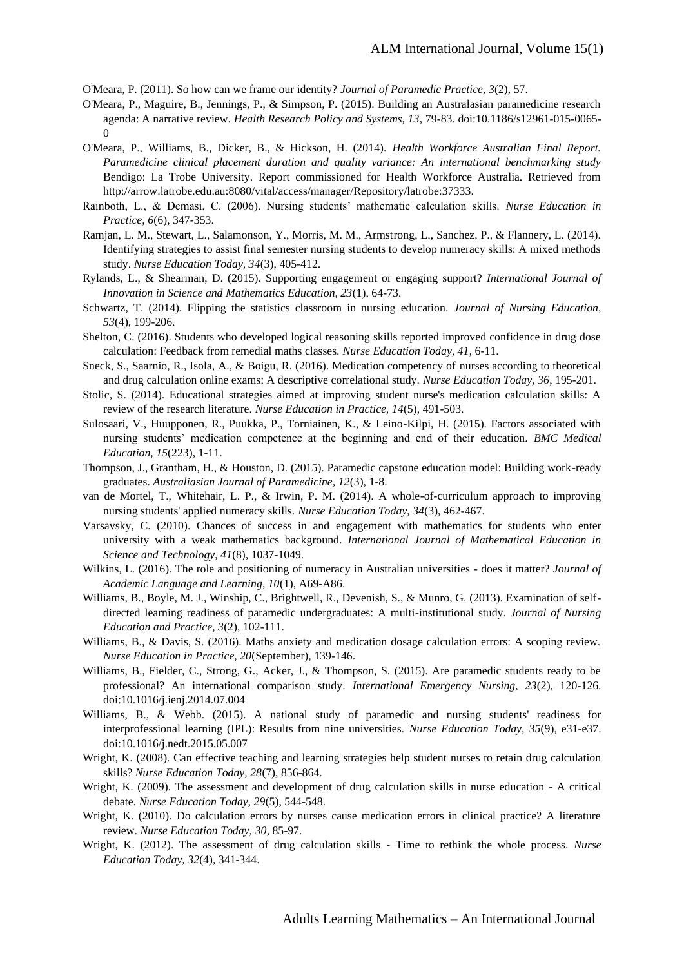O'Meara, P. (2011). So how can we frame our identity? *Journal of Paramedic Practice, 3*(2), 57.

- O'Meara, P., Maguire, B., Jennings, P., & Simpson, P. (2015). Building an Australasian paramedicine research agenda: A narrative review. *Health Research Policy and Systems, 13*, 79-83. doi:10.1186/s12961-015-0065-  $\Omega$
- O'Meara, P., Williams, B., Dicker, B., & Hickson, H. (2014). *Health Workforce Australian Final Report. Paramedicine clinical placement duration and quality variance: An international benchmarking study*  Bendigo: La Trobe University. Report commissioned for Health Workforce Australia. Retrieved from http://arrow.latrobe.edu.au:8080/vital/access/manager/Repository/latrobe:37333.
- Rainboth, L., & Demasi, C. (2006). Nursing students' mathematic calculation skills. *Nurse Education in Practice, 6*(6), 347-353.
- Ramjan, L. M., Stewart, L., Salamonson, Y., Morris, M. M., Armstrong, L., Sanchez, P., & Flannery, L. (2014). Identifying strategies to assist final semester nursing students to develop numeracy skills: A mixed methods study. *Nurse Education Today, 34*(3), 405-412.
- Rylands, L., & Shearman, D. (2015). Supporting engagement or engaging support? *International Journal of Innovation in Science and Mathematics Education, 23*(1), 64-73.
- Schwartz, T. (2014). Flipping the statistics classroom in nursing education. *Journal of Nursing Education, 53*(4), 199-206.
- Shelton, C. (2016). Students who developed logical reasoning skills reported improved confidence in drug dose calculation: Feedback from remedial maths classes. *Nurse Education Today, 41*, 6-11.
- Sneck, S., Saarnio, R., Isola, A., & Boigu, R. (2016). Medication competency of nurses according to theoretical and drug calculation online exams: A descriptive correlational study. *Nurse Education Today, 36*, 195-201.
- Stolic, S. (2014). Educational strategies aimed at improving student nurse's medication calculation skills: A review of the research literature. *Nurse Education in Practice, 14*(5), 491-503.
- Sulosaari, V., Huupponen, R., Puukka, P., Torniainen, K., & Leino-Kilpi, H. (2015). Factors associated with nursing students' medication competence at the beginning and end of their education. *BMC Medical Education, 15*(223), 1-11.
- Thompson, J., Grantham, H., & Houston, D. (2015). Paramedic capstone education model: Building work-ready graduates. *Australiasian Journal of Paramedicine, 12*(3), 1-8.
- van de Mortel, T., Whitehair, L. P., & Irwin, P. M. (2014). A whole-of-curriculum approach to improving nursing students' applied numeracy skills. *Nurse Education Today, 34*(3), 462-467.
- Varsavsky, C. (2010). Chances of success in and engagement with mathematics for students who enter university with a weak mathematics background. *International Journal of Mathematical Education in Science and Technology, 41*(8), 1037-1049.
- Wilkins, L. (2016). The role and positioning of numeracy in Australian universities does it matter? *Journal of Academic Language and Learning, 10*(1), A69-A86.
- Williams, B., Boyle, M. J., Winship, C., Brightwell, R., Devenish, S., & Munro, G. (2013). Examination of selfdirected learning readiness of paramedic undergraduates: A multi-institutional study. *Journal of Nursing Education and Practice, 3*(2), 102-111.
- Williams, B., & Davis, S. (2016). Maths anxiety and medication dosage calculation errors: A scoping review. *Nurse Education in Practice, 20*(September), 139-146.
- Williams, B., Fielder, C., Strong, G., Acker, J., & Thompson, S. (2015). Are paramedic students ready to be professional? An international comparison study. *International Emergency Nursing, 23*(2), 120-126. doi:10.1016/j.ienj.2014.07.004
- Williams, B., & Webb. (2015). A national study of paramedic and nursing students' readiness for interprofessional learning (IPL): Results from nine universities. *Nurse Education Today, 35*(9), e31-e37. doi:10.1016/j.nedt.2015.05.007
- Wright, K. (2008). Can effective teaching and learning strategies help student nurses to retain drug calculation skills? *Nurse Education Today, 28*(7), 856-864.
- Wright, K. (2009). The assessment and development of drug calculation skills in nurse education A critical debate. *Nurse Education Today, 29*(5), 544-548.
- Wright, K. (2010). Do calculation errors by nurses cause medication errors in clinical practice? A literature review. *Nurse Education Today, 30*, 85-97.
- Wright, K. (2012). The assessment of drug calculation skills Time to rethink the whole process. *Nurse Education Today, 32*(4), 341-344.